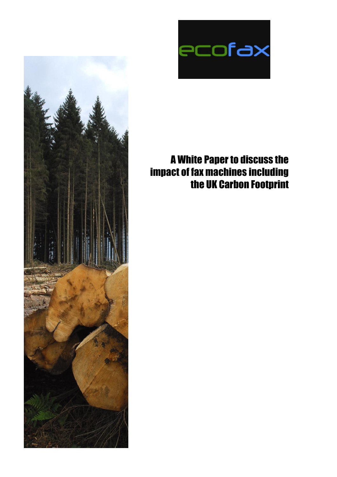

# A White Paper to discuss the impact of fax machines including the UK Carbon Footprint

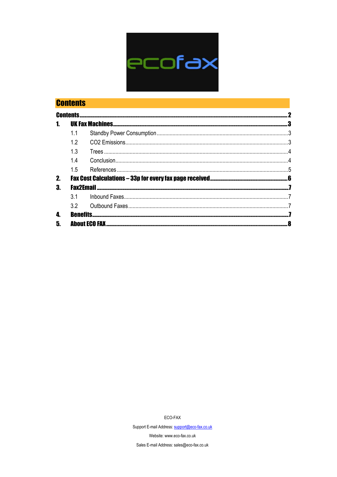

|    | <b>Contents</b>  |                      |  |
|----|------------------|----------------------|--|
|    | <b>Contents.</b> |                      |  |
|    |                  |                      |  |
|    |                  |                      |  |
|    |                  |                      |  |
|    | 13               |                      |  |
|    |                  |                      |  |
|    | 1.5              |                      |  |
| 2. |                  |                      |  |
| 3. | <b>Fax2Email</b> |                      |  |
|    | 3 <sub>1</sub>   |                      |  |
|    | 3.2              |                      |  |
| 4. |                  |                      |  |
| 5. |                  | <b>Ahout ECO FAX</b> |  |

ECO-FAX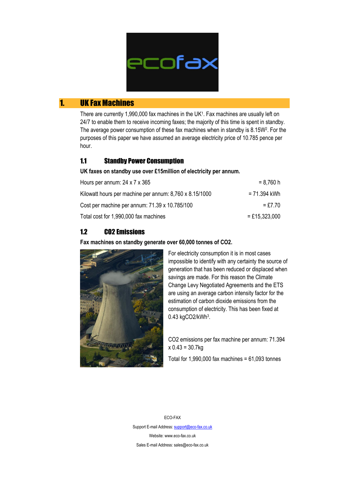

## 1. UK Fax Machines

There are currently 1,990,000 fax machines in the UK<sup>1</sup>. Fax machines are usually left on 24/7 to enable them to receive incoming faxes; the majority of this time is spent in standby. The average power consumption of these fax machines when in standby is 8.15W<sup>2</sup>. For the purposes of this paper we have assumed an average electricity price of 10.785 pence per hour.

## 1.1 Standby Power Consumption

**UK faxes on standby use over £15million of electricity per annum.**

| Hours per annum: $24 \times 7 \times 365$               | = 8.760 h       |
|---------------------------------------------------------|-----------------|
| Kilowatt hours per machine per annum: 8,760 x 8.15/1000 | = 71.394 kWh    |
| Cost per machine per annum: 71.39 x 10.785/100          | $=$ £7 70       |
| Total cost for 1,990,000 fax machines                   | $=$ £15,323,000 |

## 1.2 CO2 Emissions

**Fax machines on standby generate over 60,000 tonnes of CO2.**



For electricity consumption it is in most cases impossible to identify with any certainty the source of generation that has been reduced or displaced when savings are made. For this reason the Climate Change Levy Negotiated Agreements and the ETS are using an average carbon intensity factor for the estimation of carbon dioxide emissions from the consumption of electricity. This has been fixed at 0.43 kgCO2/kWh<sup>3</sup>.

CO2 emissions per fax machine per annum: 71.394  $x 0.43 = 30.7kg$ 

Total for  $1,990,000$  fax machines =  $61,093$  tonnes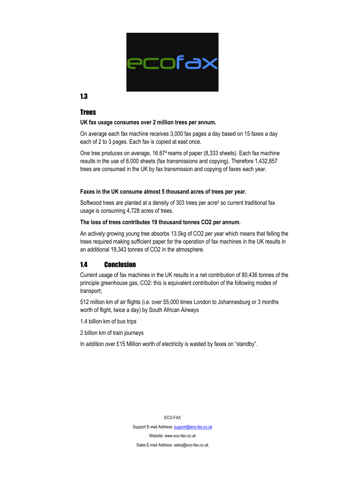

#### 1.3

#### Trees

#### **UK fax usage consumes over 2 million trees per annum.**

On average each fax machine receives 3,000 fax pages a day based on 15 faxes a day each of 2 to 3 pages. Each fax is copied at east once.

One tree produces on average, 16.674 reams of paper (8,333 sheets). Each fax machine results in the use of 6,000 sheets (fax transmissions and copying). Therefore 1,432,857 trees are consumed in the UK by fax transmission and copying of faxes each year.

#### **Faxes in the UK consume almost 5 thousand acres of trees per year.**

Softwood trees are planted at a density of 303 trees per acre<sup>5</sup> so current traditional fax usage is consuming 4,728 acres of trees.

#### **The loss of trees contributes 19 thousand tonnes CO2 per annum.**

An actively growing young tree absorbs 13.5kg of CO2 per year which means that felling the trees required making sufficient paper for the operation of fax machines in the UK results in an additional 19,343 tonnes of CO2 in the atmosphere.

## 14 Conclusion

Current usage of fax machines in the UK results in a net contribution of 80,436 tonnes of the principle greenhouse gas, CO2: this is equivalent contribution of the following modes of transport;

512 million km of air flights (i.e. over 55,000 times London to Johannesburg or 3 months worth of flight, twice a day) by South African Airways

1.4 billion km of bus trips

2 billion km of train journeys

In addition over £15 Million worth of electricity is wasted by faxes on "standby".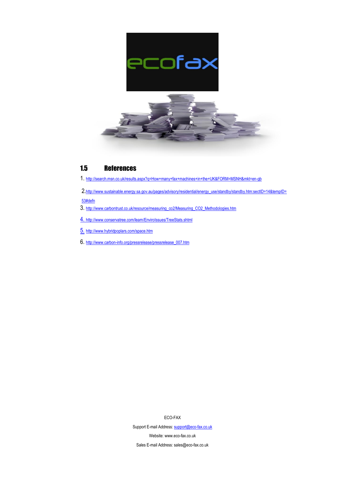

#### 1.5 References

- 1. <http://search.msn.co.uk/results.aspx?q=How+many+fax+machines+in+the+UK&FORM=MSNH&mkt=en-gb>
- 2.[http://www.sustainable.energy.sa.gov.au/pages/advisory/residential/energy\\_use/standby/standby.htm:sectID=14&tempID=](http://www.sustainable.energy.sa.gov.au/pages/advisory/residential/energy_use/standby/standby.htm:sectID=14&tempID=53#defn)

#### [53#defn](http://www.sustainable.energy.sa.gov.au/pages/advisory/residential/energy_use/standby/standby.htm:sectID=14&tempID=53#defn)

- 3. [http://www.carbontrust.co.uk/resource/measuring\\_co2/Measuring\\_CO2\\_Methodologies.htm](http://www.carbontrust.co.uk/resource/measuring_co2/Measuring_CO2_Methodologies.htm)
- 4. <http://www.conservatree.com/learn/EnviroIssues/TreeStats.shtml>
- 5. <http://www.hybridpoplars.com/space.htm>
- 6. [http://www.carbon-info.org/pressrelease/pressrelease\\_007.htm](http://www.carbon-info.org/pressrelease/pressrelease_007.htm)

ECO-FAX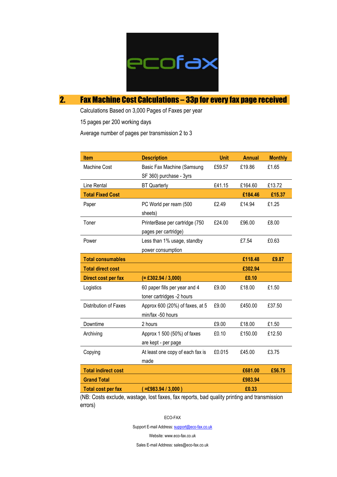

# 2. Fax Machine Cost Calculations – 33p for every fax page received

Calculations Based on 3,000 Pages of Faxes per year

15 pages per 200 working days

Average number of pages per transmission 2 to 3

| <b>Item</b>                | <b>Description</b>               | <b>Unit</b> | <b>Annual</b> | <b>Monthly</b> |
|----------------------------|----------------------------------|-------------|---------------|----------------|
| Machine Cost               | Basic Fax Machine (Samsung       | £59.57      | £19.86        | £1.65          |
|                            | SF 360) purchase - 3yrs          |             |               |                |
| Line Rental                | <b>BT Quarterly</b>              | £41.15      | £164.60       | £13.72         |
| <b>Total Fixed Cost</b>    |                                  |             | £184.46       | £15.37         |
| Paper                      | PC World per ream (500           | £2.49       | £14.94        | £1.25          |
|                            | sheets)                          |             |               |                |
| Toner                      | PrinterBase per cartridge (750   | £24.00      | £96.00        | £8.00          |
|                            | pages per cartridge)             |             |               |                |
| Power                      | Less than 1% usage, standby      |             | £7.54         | £0.63          |
|                            | power consumption                |             |               |                |
| <b>Total consumables</b>   |                                  |             | £118.48       | £9.87          |
| <b>Total direct cost</b>   |                                  |             | £302.94       |                |
| Direct cost per fax        | $(= \pounds 302.94 / 3,000)$     |             | £0.10         |                |
| Logistics                  | 60 paper fills per year and 4    | £9.00       | £18.00        | £1.50          |
|                            | toner cartridges -2 hours        |             |               |                |
| Distribution of Faxes      | Approx 600 (20%) of faxes, at 5  | £9.00       | £450.00       | £37.50         |
|                            | min/fax -50 hours                |             |               |                |
| Downtime                   | 2 hours                          | £9.00       | £18.00        | £1.50          |
| Archiving                  | Approx 1 500 (50%) of faxes      | £0.10       | £150.00       | £12.50         |
|                            | are kept - per page              |             |               |                |
| Copying                    | At least one copy of each fax is | £0.015      | £45.00        | £3.75          |
|                            | made                             |             |               |                |
| <b>Total indirect cost</b> | £681.00                          | £56.75      |               |                |
| <b>Grand Total</b>         |                                  |             | £983.94       |                |
| <b>Total cost per fax</b>  | $=$ £983.94 / 3,000)             |             | £0.33         |                |

(NB: Costs exclude, wastage, lost faxes, fax reports, bad quality printing and transmission errors)

ECO-FAX

Support E-mail Address: support@eco-fax.co.uk

Website: www.eco-fax.co.uk

Sales E-mail Address: sales@eco-fax.co.uk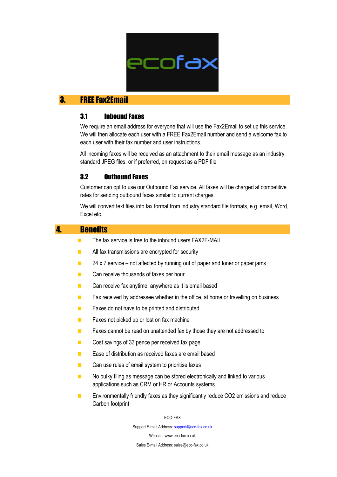

## 3. FREE Fax2Email

## 3.1 Inbound Faxes

We require an email address for everyone that will use the Fax2Email to set up this service. We will then allocate each user with a FREE Fax2Email number and send a welcome fax to each user with their fax number and user instructions.

All incoming faxes will be received as an attachment to their email message as an industry standard JPEG files, or if preferred, on request as a PDF file

#### 3.2 Outbound Faxes

Customer can opt to use our Outbound Fax service. All faxes will be charged at competitive rates for sending outbound faxes similar to current charges.

We will convert text files into fax format from industry standard file formats, e.g. email, Word, Excel etc.

#### 4. Benefits

- $\blacksquare$  The fax service is free to the inbound users  $\blacksquare$  FAX2E-MAIL
- **All fax transmissions are encrypted for security**
- $\blacksquare$  24 x 7 service not affected by running out of paper and toner or paper jams
- **Can receive thousands of faxes per hour**
- Can receive fax anytime, anywhere as it is email based
- $\blacksquare$  Fax received by addressee whether in the office, at home or travelling on business
- Faxes do not have to be printed and distributed
- **Faxes not picked up or lost on fax machine**
- **Faxes cannot be read on unattended fax by those they are not addressed to**
- Cost savings of 33 pence per received fax page
- **Ease of distribution as received faxes are email based**
- Can use rules of email system to prioritise faxes
- $\blacksquare$  No bulky filing as message can be stored electronically and linked to various applications such as CRM or HR or Accounts systems.
- **Environmentally friendly faxes as they significantly reduce CO2 emissions and reduce** Carbon footprint

ECO-FAX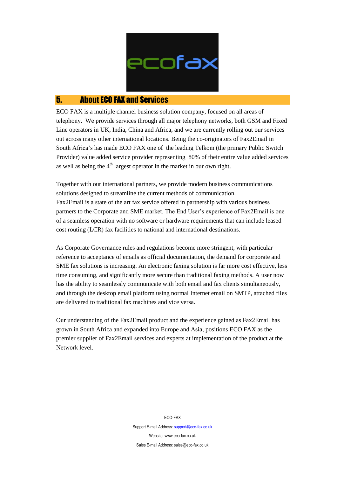

## 5. About ECO FAX and Services

ECO FAX is a multiple channel business solution company, focused on all areas of telephony. We provide services through all major telephony networks, both GSM and Fixed Line operators in UK, India, China and Africa, and we are currently rolling out our services out across many other international locations. Being the co-originators of Fax2Email in South Africa's has made ECO FAX one of the leading Telkom (the primary Public Switch Provider) value added service provider representing 80% of their entire value added services as well as being the  $4<sup>th</sup>$  largest operator in the market in our own right.

Together with our international partners, we provide modern business communications solutions designed to streamline the current methods of communication. Fax2Email is a state of the art fax service offered in partnership with various business partners to the Corporate and SME market. The End User's experience of Fax2Email is one of a seamless operation with no software or hardware requirements that can include leased cost routing (LCR) fax facilities to national and international destinations.

As Corporate Governance rules and regulations become more stringent, with particular reference to acceptance of emails as official documentation, the demand for corporate and SME fax solutions is increasing. An electronic faxing solution is far more cost effective, less time consuming, and significantly more secure than traditional faxing methods. A user now has the ability to seamlessly communicate with both email and fax clients simultaneously, and through the desktop email platform using normal Internet email on SMTP, attached files are delivered to traditional fax machines and vice versa.

Our understanding of the Fax2Email product and the experience gained as Fax2Email has grown in South Africa and expanded into Europe and Asia, positions ECO FAX as the premier supplier of Fax2Email services and experts at implementation of the product at the Network level.